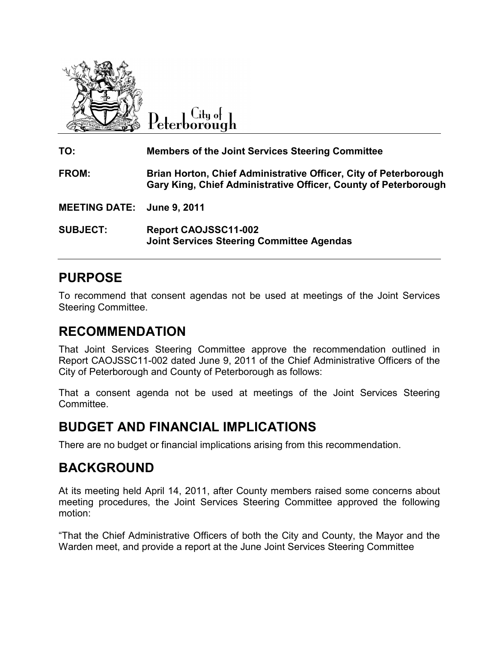

City of Peterborough

**TO: Members of the Joint Services Steering Committee FROM: Brian Horton, Chief Administrative Officer Officer, City of Peterborough Gary King King, Chief Administrative Officer, County of** 

**MEETING DATE: , 2011**

**SUBJECT: Report CAO CAOJSSC11-002 Joint Services Steering Committee Agendas Committee** 

## **PURPOSE**

To recommend that consent agendas not be used at meetings of the Joint Services Steering Committee. To recommend that consent agendas not be used at meetings of the Joint Services<br>Steering Committee.<br>**RECOMMENDATION**<br>That Joint Services Steering Committee approve the recommendation outlined in

## **RECOMMENDATION**

Report CAOJSSC11-002 dated June 9, 2011 of the Chief Administrative Officers of the City of Peterborough and County of Peterborough as follows:

That a consent agenda not be used at meetings of the Joint Services Steering Committee. agenda not be used at meetings of the Joint Services Steering<br> **D FINANCIAL IMPLICATIONS**<br>
get or financial implications arising from this recommendation.<br> **ND**<br>
d April 14, 2011, after County members raised some concerns

## **BUDGET AND FINANCIAL IMPLICATIONS**

There are no budget or financial implications arising from this recommendation.

## **BACKGROUND**

At its meeting held April 14, 2011, after County members raised some concerns about meeting procedures, the Joint Services Steering Committee approved the following motion: FROM:<br>
Fram Horton, Chief Administrative Officer, Cuty of Peterborough<br>
MEETING DATE: June 9, 2011<br>
SUBJECT:<br>
SUBJECT: Report CAOJSSC11-002<br>
Joint Services Steering Committee Agendas<br>
TUIRPOSE<br>
To recommend that consent ag

"That the Chief Administrative Officers of both the City and County, the Mayor and the Warden meet, and provide a report at the June Joint Services Steering Committee